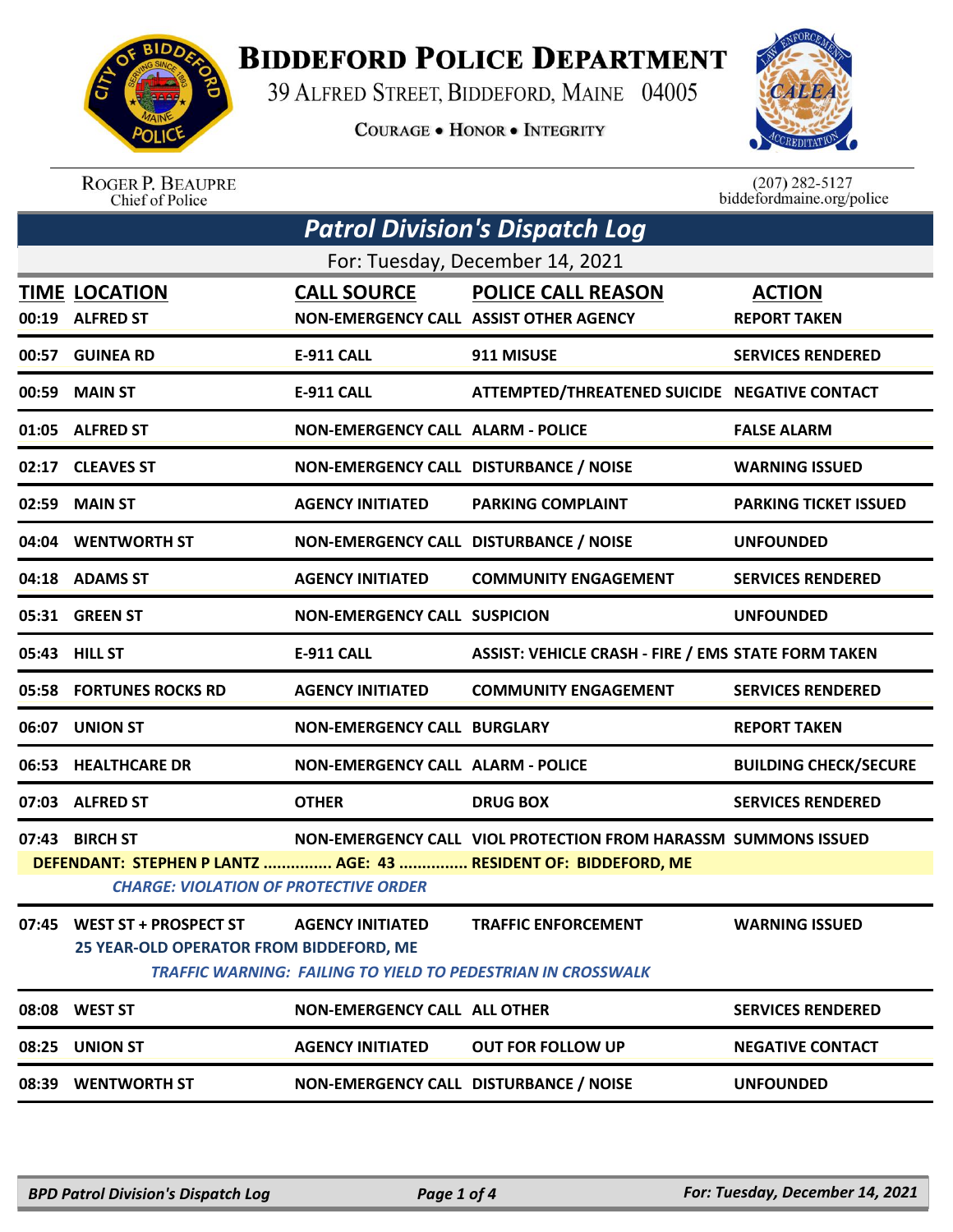

## **BIDDEFORD POLICE DEPARTMENT**

39 ALFRED STREET, BIDDEFORD, MAINE 04005

**COURAGE . HONOR . INTEGRITY** 



ROGER P. BEAUPRE<br>Chief of Police

 $(207)$  282-5127<br>biddefordmaine.org/police

| <b>Patrol Division's Dispatch Log</b> |                                                                        |                                                              |                                                                                                   |                                      |  |
|---------------------------------------|------------------------------------------------------------------------|--------------------------------------------------------------|---------------------------------------------------------------------------------------------------|--------------------------------------|--|
| For: Tuesday, December 14, 2021       |                                                                        |                                                              |                                                                                                   |                                      |  |
|                                       | <b>TIME LOCATION</b><br>00:19 ALFRED ST                                | <b>CALL SOURCE</b><br>NON-EMERGENCY CALL ASSIST OTHER AGENCY | <b>POLICE CALL REASON</b>                                                                         | <b>ACTION</b><br><b>REPORT TAKEN</b> |  |
|                                       | 00:57 GUINEA RD                                                        | <b>E-911 CALL</b>                                            | 911 MISUSE                                                                                        | <b>SERVICES RENDERED</b>             |  |
| 00:59                                 | <b>MAIN ST</b>                                                         | <b>E-911 CALL</b>                                            | ATTEMPTED/THREATENED SUICIDE NEGATIVE CONTACT                                                     |                                      |  |
|                                       | 01:05 ALFRED ST                                                        | <b>NON-EMERGENCY CALL ALARM - POLICE</b>                     |                                                                                                   | <b>FALSE ALARM</b>                   |  |
|                                       | 02:17 CLEAVES ST                                                       | NON-EMERGENCY CALL DISTURBANCE / NOISE                       |                                                                                                   | <b>WARNING ISSUED</b>                |  |
|                                       | 02:59 MAIN ST                                                          | <b>AGENCY INITIATED</b>                                      | <b>PARKING COMPLAINT</b>                                                                          | <b>PARKING TICKET ISSUED</b>         |  |
|                                       | 04:04 WENTWORTH ST                                                     | NON-EMERGENCY CALL DISTURBANCE / NOISE                       |                                                                                                   | <b>UNFOUNDED</b>                     |  |
|                                       | 04:18 ADAMS ST                                                         | <b>AGENCY INITIATED</b>                                      | <b>COMMUNITY ENGAGEMENT</b>                                                                       | <b>SERVICES RENDERED</b>             |  |
|                                       | 05:31 GREEN ST                                                         | <b>NON-EMERGENCY CALL SUSPICION</b>                          |                                                                                                   | <b>UNFOUNDED</b>                     |  |
|                                       | 05:43 HILL ST                                                          | <b>E-911 CALL</b>                                            | <b>ASSIST: VEHICLE CRASH - FIRE / EMS STATE FORM TAKEN</b>                                        |                                      |  |
|                                       | 05:58 FORTUNES ROCKS RD                                                | <b>AGENCY INITIATED</b>                                      | <b>COMMUNITY ENGAGEMENT</b>                                                                       | <b>SERVICES RENDERED</b>             |  |
|                                       | 06:07 UNION ST                                                         | <b>NON-EMERGENCY CALL BURGLARY</b>                           |                                                                                                   | <b>REPORT TAKEN</b>                  |  |
|                                       | 06:53 HEALTHCARE DR                                                    | <b>NON-EMERGENCY CALL ALARM - POLICE</b>                     |                                                                                                   | <b>BUILDING CHECK/SECURE</b>         |  |
|                                       | 07:03 ALFRED ST                                                        | <b>OTHER</b>                                                 | <b>DRUG BOX</b>                                                                                   | <b>SERVICES RENDERED</b>             |  |
|                                       | 07:43 BIRCH ST                                                         |                                                              | NON-EMERGENCY CALL VIOL PROTECTION FROM HARASSM SUMMONS ISSUED                                    |                                      |  |
|                                       | <b>CHARGE: VIOLATION OF PROTECTIVE ORDER</b>                           |                                                              | DEFENDANT: STEPHEN P LANTZ  AGE: 43  RESIDENT OF: BIDDEFORD, ME                                   |                                      |  |
|                                       | 07:45 WEST ST + PROSPECT ST<br>25 YEAR-OLD OPERATOR FROM BIDDEFORD, ME | <b>AGENCY INITIATED</b>                                      | <b>TRAFFIC ENFORCEMENT</b><br><b>TRAFFIC WARNING: FAILING TO YIELD TO PEDESTRIAN IN CROSSWALK</b> | <b>WARNING ISSUED</b>                |  |
|                                       | 08:08 WEST ST                                                          | <b>NON-EMERGENCY CALL ALL OTHER</b>                          |                                                                                                   | <b>SERVICES RENDERED</b>             |  |
|                                       | 08:25 UNION ST                                                         | <b>AGENCY INITIATED</b>                                      | <b>OUT FOR FOLLOW UP</b>                                                                          | <b>NEGATIVE CONTACT</b>              |  |
|                                       | 08:39 WENTWORTH ST                                                     | NON-EMERGENCY CALL DISTURBANCE / NOISE                       |                                                                                                   | <b>UNFOUNDED</b>                     |  |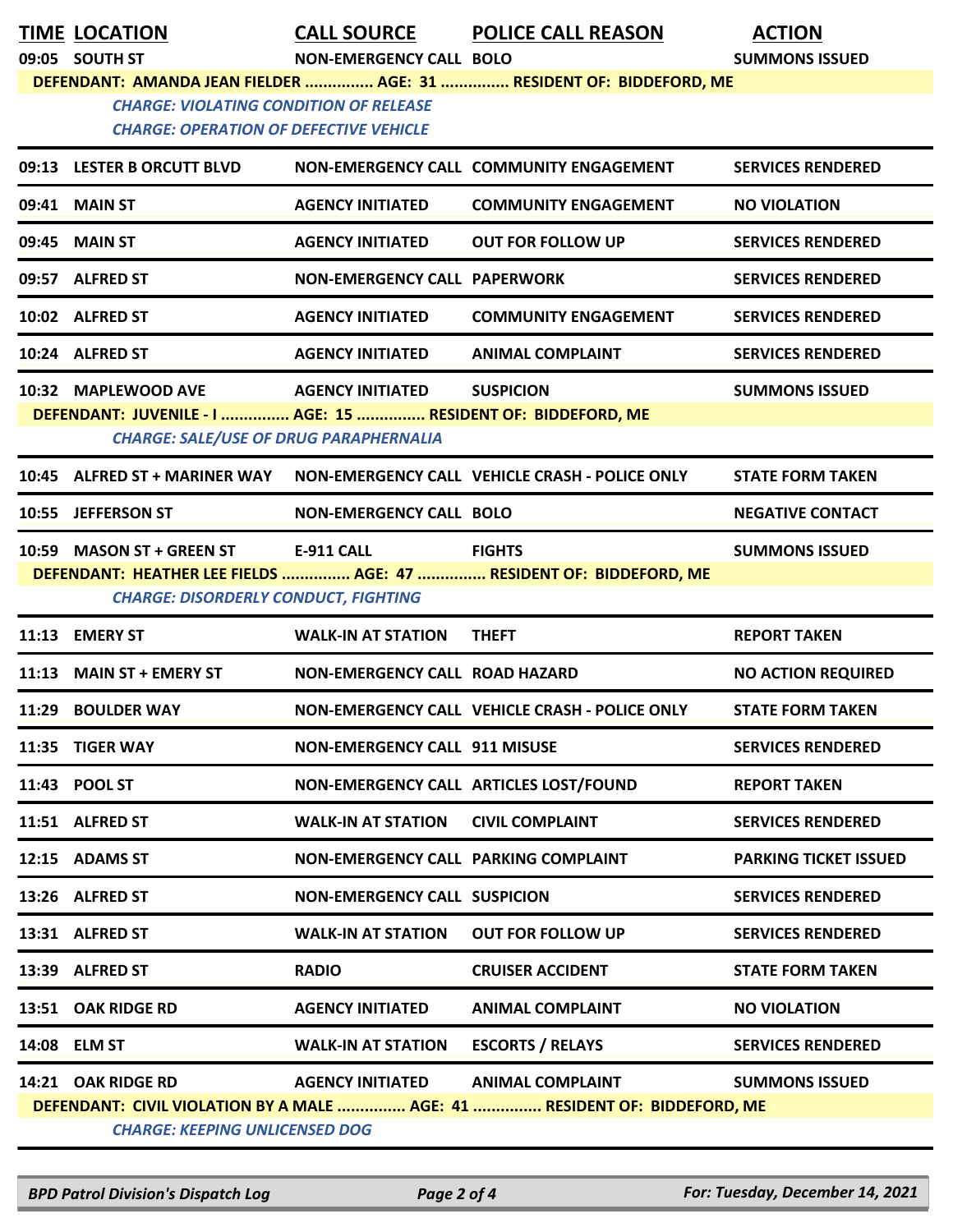| <b>TIME LOCATION</b><br>09:05 SOUTH ST                                                                        | <b>CALL SOURCE</b><br><b>NON-EMERGENCY CALL BOLO</b> | <b>POLICE CALL REASON</b>                                           | <b>ACTION</b><br><b>SUMMONS ISSUED</b> |
|---------------------------------------------------------------------------------------------------------------|------------------------------------------------------|---------------------------------------------------------------------|----------------------------------------|
|                                                                                                               |                                                      | DEFENDANT: AMANDA JEAN FIELDER  AGE: 31  RESIDENT OF: BIDDEFORD, ME |                                        |
| <b>CHARGE: VIOLATING CONDITION OF RELEASE</b><br><b>CHARGE: OPERATION OF DEFECTIVE VEHICLE</b>                |                                                      |                                                                     |                                        |
| 09:13 LESTER B ORCUTT BLVD                                                                                    |                                                      | NON-EMERGENCY CALL COMMUNITY ENGAGEMENT                             | <b>SERVICES RENDERED</b>               |
| 09:41 MAIN ST                                                                                                 | <b>AGENCY INITIATED</b>                              | <b>COMMUNITY ENGAGEMENT</b>                                         | <b>NO VIOLATION</b>                    |
| 09:45 MAIN ST                                                                                                 | <b>AGENCY INITIATED</b>                              | <b>OUT FOR FOLLOW UP</b>                                            | <b>SERVICES RENDERED</b>               |
| 09:57 ALFRED ST                                                                                               | <b>NON-EMERGENCY CALL PAPERWORK</b>                  |                                                                     | <b>SERVICES RENDERED</b>               |
| 10:02 ALFRED ST                                                                                               | <b>AGENCY INITIATED</b>                              | <b>COMMUNITY ENGAGEMENT</b>                                         | <b>SERVICES RENDERED</b>               |
| 10:24 ALFRED ST                                                                                               | <b>AGENCY INITIATED</b>                              | <b>ANIMAL COMPLAINT</b>                                             | <b>SERVICES RENDERED</b>               |
| 10:32 MAPLEWOOD AVE                                                                                           | <b>AGENCY INITIATED</b>                              | <b>SUSPICION</b>                                                    | <b>SUMMONS ISSUED</b>                  |
| DEFENDANT: JUVENILE - I  AGE: 15  RESIDENT OF: BIDDEFORD, ME<br><b>CHARGE: SALE/USE OF DRUG PARAPHERNALIA</b> |                                                      |                                                                     |                                        |
| 10:45 ALFRED ST + MARINER WAY                                                                                 |                                                      | NON-EMERGENCY CALL VEHICLE CRASH - POLICE ONLY                      | <b>STATE FORM TAKEN</b>                |
| 10:55 JEFFERSON ST                                                                                            | <b>NON-EMERGENCY CALL BOLO</b>                       |                                                                     | <b>NEGATIVE CONTACT</b>                |
| 10:59 MASON ST + GREEN ST                                                                                     | <b>E-911 CALL</b>                                    | <b>FIGHTS</b>                                                       | <b>SUMMONS ISSUED</b>                  |
| <b>CHARGE: DISORDERLY CONDUCT, FIGHTING</b>                                                                   |                                                      | DEFENDANT: HEATHER LEE FIELDS  AGE: 47  RESIDENT OF: BIDDEFORD, ME  |                                        |
| 11:13 EMERY ST                                                                                                | <b>WALK-IN AT STATION</b>                            | <b>THEFT</b>                                                        | <b>REPORT TAKEN</b>                    |
| 11:13 MAIN ST + EMERY ST                                                                                      | <b>NON-EMERGENCY CALL ROAD HAZARD</b>                |                                                                     | <b>NO ACTION REQUIRED</b>              |
| 11:29 BOULDER WAY                                                                                             |                                                      | NON-EMERGENCY CALL VEHICLE CRASH - POLICE ONLY                      | <b>STATE FORM TAKEN</b>                |
| 11:35 TIGER WAY                                                                                               | <b>NON-EMERGENCY CALL 911 MISUSE</b>                 |                                                                     | <b>SERVICES RENDERED</b>               |
| 11:43 POOL ST                                                                                                 |                                                      | NON-EMERGENCY CALL ARTICLES LOST/FOUND                              | <b>REPORT TAKEN</b>                    |
| 11:51 ALFRED ST                                                                                               | <b>WALK-IN AT STATION</b>                            | <b>CIVIL COMPLAINT</b>                                              | <b>SERVICES RENDERED</b>               |
| 12:15 ADAMS ST                                                                                                | NON-EMERGENCY CALL PARKING COMPLAINT                 |                                                                     | <b>PARKING TICKET ISSUED</b>           |
| 13:26 ALFRED ST                                                                                               | <b>NON-EMERGENCY CALL SUSPICION</b>                  |                                                                     | <b>SERVICES RENDERED</b>               |
| 13:31 ALFRED ST                                                                                               | <b>WALK-IN AT STATION</b>                            | <b>OUT FOR FOLLOW UP</b>                                            | <b>SERVICES RENDERED</b>               |
| 13:39 ALFRED ST                                                                                               | <b>RADIO</b>                                         | <b>CRUISER ACCIDENT</b>                                             | <b>STATE FORM TAKEN</b>                |
|                                                                                                               |                                                      |                                                                     |                                        |
| 13:51 OAK RIDGE RD                                                                                            | <b>AGENCY INITIATED</b>                              | <b>ANIMAL COMPLAINT</b>                                             | <b>NO VIOLATION</b>                    |
| 14:08 ELM ST                                                                                                  | <b>WALK-IN AT STATION</b>                            | <b>ESCORTS / RELAYS</b>                                             | <b>SERVICES RENDERED</b>               |

*BPD Patrol Division's Dispatch Log Page 2 of 4 For: Tuesday, December 14, 2021*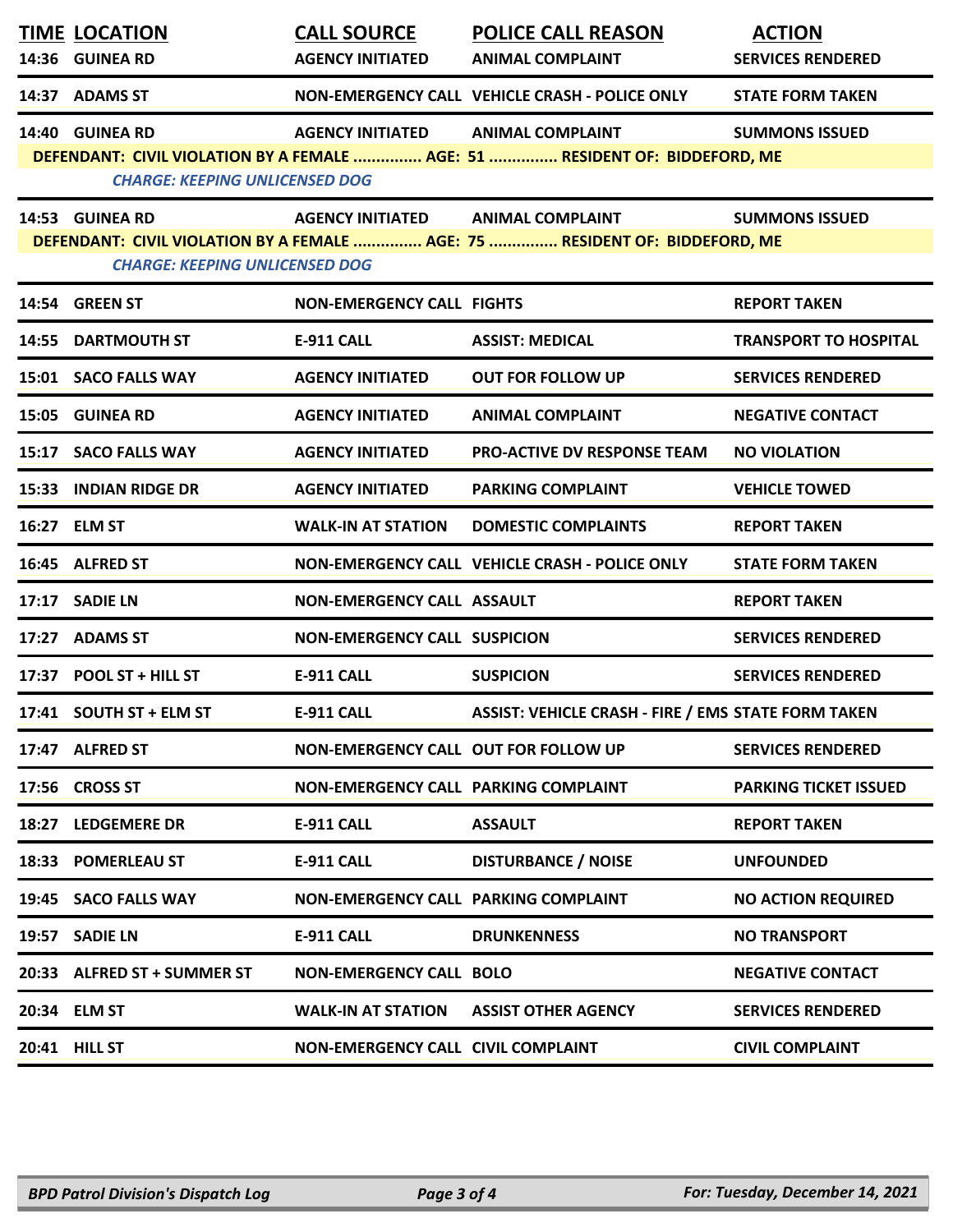| <b>TIME LOCATION</b><br>14:36 GUINEA RD                  | <b>CALL SOURCE</b><br><b>AGENCY INITIATED</b> | <b>POLICE CALL REASON</b><br><b>ANIMAL COMPLAINT</b>                                                   | <b>ACTION</b><br><b>SERVICES RENDERED</b> |
|----------------------------------------------------------|-----------------------------------------------|--------------------------------------------------------------------------------------------------------|-------------------------------------------|
| 14:37 ADAMS ST                                           |                                               | NON-EMERGENCY CALL VEHICLE CRASH - POLICE ONLY                                                         | <b>STATE FORM TAKEN</b>                   |
| 14:40 GUINEA RD<br><b>CHARGE: KEEPING UNLICENSED DOG</b> | <b>AGENCY INITIATED</b>                       | <b>ANIMAL COMPLAINT</b><br>DEFENDANT: CIVIL VIOLATION BY A FEMALE  AGE: 51  RESIDENT OF: BIDDEFORD, ME | <b>SUMMONS ISSUED</b>                     |
| 14:53 GUINEA RD<br><b>CHARGE: KEEPING UNLICENSED DOG</b> | AGENCY INITIATED ANIMAL COMPLAINT             | DEFENDANT: CIVIL VIOLATION BY A FEMALE  AGE: 75  RESIDENT OF: BIDDEFORD, ME                            | <b>SUMMONS ISSUED</b>                     |
| 14:54 GREEN ST                                           | <b>NON-EMERGENCY CALL FIGHTS</b>              |                                                                                                        | <b>REPORT TAKEN</b>                       |
| 14:55 DARTMOUTH ST                                       | <b>E-911 CALL</b>                             | <b>ASSIST: MEDICAL</b>                                                                                 | <b>TRANSPORT TO HOSPITAL</b>              |
| 15:01 SACO FALLS WAY                                     | <b>AGENCY INITIATED</b>                       | <b>OUT FOR FOLLOW UP</b>                                                                               | <b>SERVICES RENDERED</b>                  |
| 15:05 GUINEA RD                                          | <b>AGENCY INITIATED</b>                       | <b>ANIMAL COMPLAINT</b>                                                                                | <b>NEGATIVE CONTACT</b>                   |
| 15:17 SACO FALLS WAY                                     | <b>AGENCY INITIATED</b>                       | <b>PRO-ACTIVE DV RESPONSE TEAM</b>                                                                     | <b>NO VIOLATION</b>                       |
| 15:33 INDIAN RIDGE DR                                    | <b>AGENCY INITIATED</b>                       | <b>PARKING COMPLAINT</b>                                                                               | <b>VEHICLE TOWED</b>                      |
| 16:27 ELM ST                                             | <b>WALK-IN AT STATION</b>                     | <b>DOMESTIC COMPLAINTS</b>                                                                             | <b>REPORT TAKEN</b>                       |
| 16:45 ALFRED ST                                          |                                               | <b>NON-EMERGENCY CALL VEHICLE CRASH - POLICE ONLY</b>                                                  | <b>STATE FORM TAKEN</b>                   |
| 17:17 SADIE LN                                           | <b>NON-EMERGENCY CALL ASSAULT</b>             |                                                                                                        | <b>REPORT TAKEN</b>                       |
| 17:27 ADAMS ST                                           | <b>NON-EMERGENCY CALL SUSPICION</b>           |                                                                                                        | <b>SERVICES RENDERED</b>                  |
| 17:37 POOL ST + HILL ST                                  | <b>E-911 CALL</b>                             | <b>SUSPICION</b>                                                                                       | <b>SERVICES RENDERED</b>                  |
| 17:41 SOUTH ST + ELM ST                                  | <b>E-911 CALL</b>                             | <b>ASSIST: VEHICLE CRASH - FIRE / EMS STATE FORM TAKEN</b>                                             |                                           |
| 17:47 ALFRED ST                                          | NON-EMERGENCY CALL OUT FOR FOLLOW UP          |                                                                                                        | <b>SERVICES RENDERED</b>                  |
| 17:56 CROSS ST                                           | NON-EMERGENCY CALL PARKING COMPLAINT          |                                                                                                        | <b>PARKING TICKET ISSUED</b>              |
| 18:27 LEDGEMERE DR                                       | <b>E-911 CALL</b>                             | <b>ASSAULT</b>                                                                                         | <b>REPORT TAKEN</b>                       |
| 18:33 POMERLEAU ST                                       | E-911 CALL                                    | <b>DISTURBANCE / NOISE</b>                                                                             | <b>UNFOUNDED</b>                          |
| 19:45 SACO FALLS WAY                                     | NON-EMERGENCY CALL PARKING COMPLAINT          |                                                                                                        | <b>NO ACTION REQUIRED</b>                 |
| 19:57 SADIE LN                                           | E-911 CALL                                    | <b>DRUNKENNESS</b>                                                                                     | <b>NO TRANSPORT</b>                       |
| 20:33 ALFRED ST + SUMMER ST                              | <b>NON-EMERGENCY CALL BOLO</b>                |                                                                                                        | <b>NEGATIVE CONTACT</b>                   |
| 20:34 ELM ST                                             | WALK-IN AT STATION                            | <b>ASSIST OTHER AGENCY</b>                                                                             | <b>SERVICES RENDERED</b>                  |
| 20:41 HILL ST                                            | NON-EMERGENCY CALL CIVIL COMPLAINT            |                                                                                                        | <b>CIVIL COMPLAINT</b>                    |